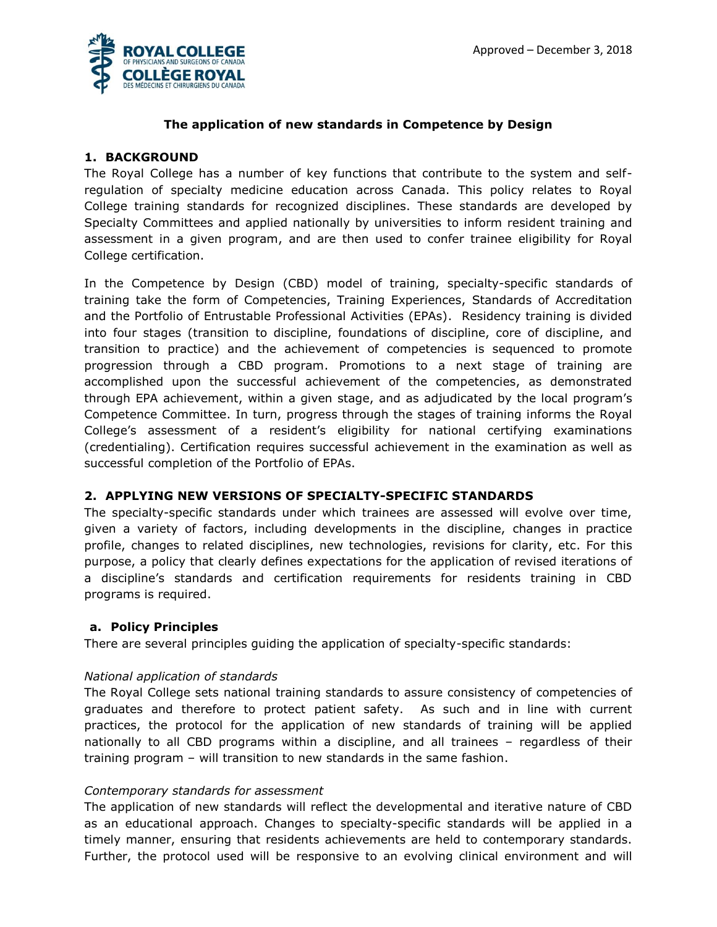

# **The application of new standards in Competence by Design**

# **1. BACKGROUND**

The Royal College has a number of key functions that contribute to the system and selfregulation of specialty medicine education across Canada. This policy relates to Royal College training standards for recognized disciplines. These standards are developed by Specialty Committees and applied nationally by universities to inform resident training and assessment in a given program, and are then used to confer trainee eligibility for Royal College certification.

In the Competence by Design (CBD) model of training, specialty-specific standards of training take the form of Competencies, Training Experiences, Standards of Accreditation and the Portfolio of Entrustable Professional Activities (EPAs). Residency training is divided into four stages (transition to discipline, foundations of discipline, core of discipline, and transition to practice) and the achievement of competencies is sequenced to promote progression through a CBD program. Promotions to a next stage of training are accomplished upon the successful achievement of the competencies, as demonstrated through EPA achievement, within a given stage, and as adjudicated by the local program's Competence Committee. In turn, progress through the stages of training informs the Royal College's assessment of a resident's eligibility for national certifying examinations (credentialing). Certification requires successful achievement in the examination as well as successful completion of the Portfolio of EPAs.

## **2. APPLYING NEW VERSIONS OF SPECIALTY-SPECIFIC STANDARDS**

The specialty-specific standards under which trainees are assessed will evolve over time, given a variety of factors, including developments in the discipline, changes in practice profile, changes to related disciplines, new technologies, revisions for clarity, etc. For this purpose, a policy that clearly defines expectations for the application of revised iterations of a discipline's standards and certification requirements for residents training in CBD programs is required.

## **a. Policy Principles**

There are several principles guiding the application of specialty-specific standards:

## *National application of standards*

The Royal College sets national training standards to assure consistency of competencies of graduates and therefore to protect patient safety. As such and in line with current practices, the protocol for the application of new standards of training will be applied nationally to all CBD programs within a discipline, and all trainees – regardless of their training program – will transition to new standards in the same fashion.

#### *Contemporary standards for assessment*

The application of new standards will reflect the developmental and iterative nature of CBD as an educational approach. Changes to specialty-specific standards will be applied in a timely manner, ensuring that residents achievements are held to contemporary standards. Further, the protocol used will be responsive to an evolving clinical environment and will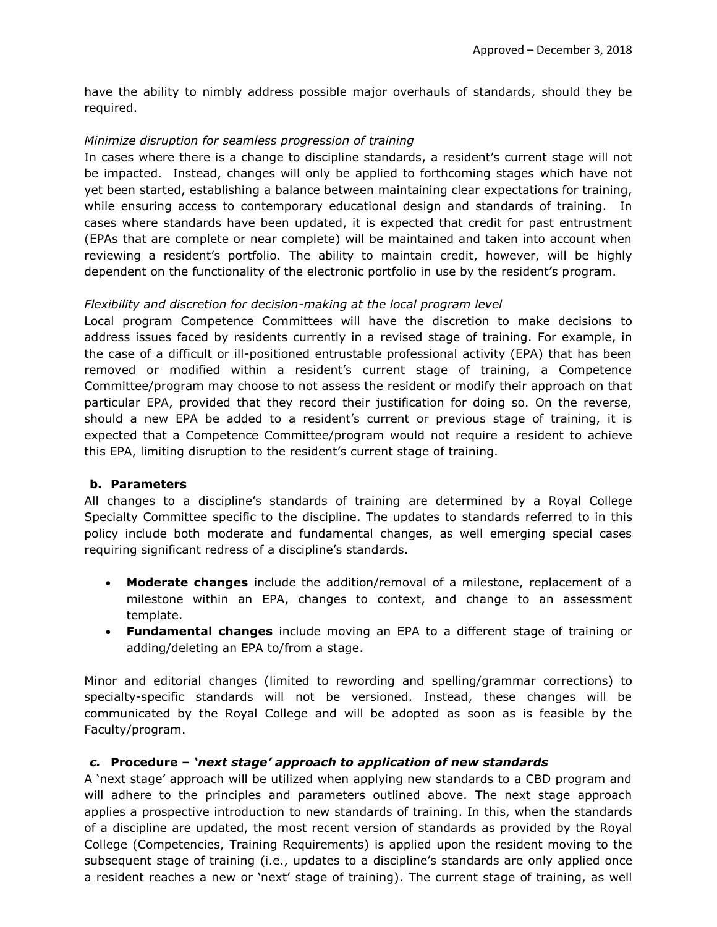have the ability to nimbly address possible major overhauls of standards, should they be required.

#### *Minimize disruption for seamless progression of training*

In cases where there is a change to discipline standards, a resident's current stage will not be impacted. Instead, changes will only be applied to forthcoming stages which have not yet been started, establishing a balance between maintaining clear expectations for training, while ensuring access to contemporary educational design and standards of training. In cases where standards have been updated, it is expected that credit for past entrustment (EPAs that are complete or near complete) will be maintained and taken into account when reviewing a resident's portfolio. The ability to maintain credit, however, will be highly dependent on the functionality of the electronic portfolio in use by the resident's program.

#### *Flexibility and discretion for decision-making at the local program level*

Local program Competence Committees will have the discretion to make decisions to address issues faced by residents currently in a revised stage of training. For example, in the case of a difficult or ill-positioned entrustable professional activity (EPA) that has been removed or modified within a resident's current stage of training, a Competence Committee/program may choose to not assess the resident or modify their approach on that particular EPA, provided that they record their justification for doing so. On the reverse, should a new EPA be added to a resident's current or previous stage of training, it is expected that a Competence Committee/program would not require a resident to achieve this EPA, limiting disruption to the resident's current stage of training.

#### **b. Parameters**

All changes to a discipline's standards of training are determined by a Royal College Specialty Committee specific to the discipline. The updates to standards referred to in this policy include both moderate and fundamental changes, as well emerging special cases requiring significant redress of a discipline's standards.

- **Moderate changes** include the addition/removal of a milestone, replacement of a milestone within an EPA, changes to context, and change to an assessment template.
- **Fundamental changes** include moving an EPA to a different stage of training or adding/deleting an EPA to/from a stage.

Minor and editorial changes (limited to rewording and spelling/grammar corrections) to specialty-specific standards will not be versioned. Instead, these changes will be communicated by the Royal College and will be adopted as soon as is feasible by the Faculty/program.

## *c.* **Procedure –** *'next stage' approach to application of new standards*

A 'next stage' approach will be utilized when applying new standards to a CBD program and will adhere to the principles and parameters outlined above. The next stage approach applies a prospective introduction to new standards of training. In this, when the standards of a discipline are updated, the most recent version of standards as provided by the Royal College (Competencies, Training Requirements) is applied upon the resident moving to the subsequent stage of training (i.e., updates to a discipline's standards are only applied once a resident reaches a new or 'next' stage of training). The current stage of training, as well